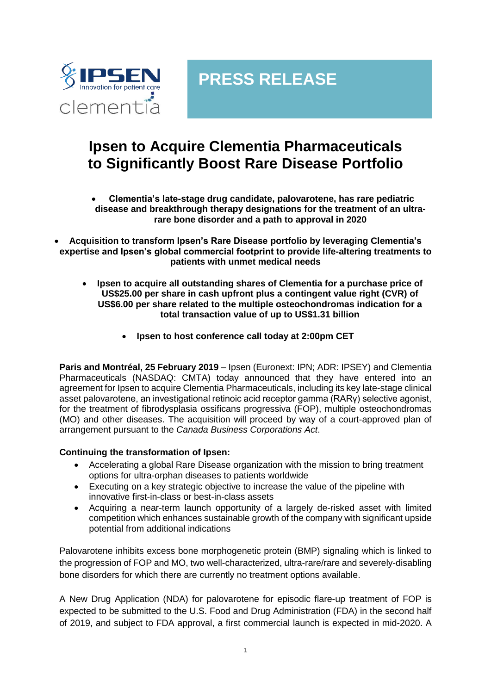

# **PRESS RELEASE**

## **Ipsen to Acquire Clementia Pharmaceuticals to Significantly Boost Rare Disease Portfolio**

- **Clementia's late-stage drug candidate, palovarotene, has rare pediatric disease and breakthrough therapy designations for the treatment of an ultrarare bone disorder and a path to approval in 2020**
- **Acquisition to transform Ipsen's Rare Disease portfolio by leveraging Clementia's expertise and Ipsen's global commercial footprint to provide life-altering treatments to patients with unmet medical needs**
	- **Ipsen to acquire all outstanding shares of Clementia for a purchase price of US\$25.00 per share in cash upfront plus a contingent value right (CVR) of US\$6.00 per share related to the multiple osteochondromas indication for a total transaction value of up to US\$1.31 billion**
		- **Ipsen to host conference call today at 2:00pm CET**

**Paris and Montréal, 25 February 2019** – Ipsen (Euronext: IPN; ADR: IPSEY) and Clementia Pharmaceuticals (NASDAQ: CMTA) today announced that they have entered into an agreement for Ipsen to acquire Clementia Pharmaceuticals, including its key late-stage clinical asset palovarotene, an investigational retinoic acid receptor gamma (RARγ) selective agonist, for the treatment of fibrodysplasia ossificans progressiva (FOP), multiple osteochondromas (MO) and other diseases. The acquisition will proceed by way of a court-approved plan of arrangement pursuant to the *Canada Business Corporations Act*.

## **Continuing the transformation of Ipsen:**

- Accelerating a global Rare Disease organization with the mission to bring treatment options for ultra-orphan diseases to patients worldwide
- Executing on a key strategic objective to increase the value of the pipeline with innovative first-in-class or best-in-class assets
- Acquiring a near-term launch opportunity of a largely de-risked asset with limited competition which enhances sustainable growth of the company with significant upside potential from additional indications

Palovarotene inhibits excess bone morphogenetic protein (BMP) signaling which is linked to the progression of FOP and MO, two well-characterized, ultra-rare/rare and severely-disabling bone disorders for which there are currently no treatment options available.

A New Drug Application (NDA) for palovarotene for episodic flare-up treatment of FOP is expected to be submitted to the U.S. Food and Drug Administration (FDA) in the second half of 2019, and subject to FDA approval, a first commercial launch is expected in mid-2020. A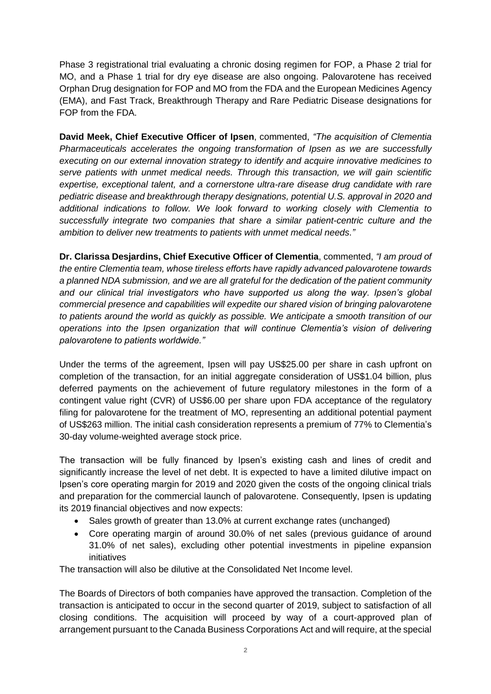Phase 3 registrational trial evaluating a chronic dosing regimen for FOP, a Phase 2 trial for MO, and a Phase 1 trial for dry eye disease are also ongoing. Palovarotene has received Orphan Drug designation for FOP and MO from the FDA and the European Medicines Agency (EMA), and Fast Track, Breakthrough Therapy and Rare Pediatric Disease designations for FOP from the FDA.

**David Meek, Chief Executive Officer of Ipsen**, commented, *"The acquisition of Clementia Pharmaceuticals accelerates the ongoing transformation of Ipsen as we are successfully executing on our external innovation strategy to identify and acquire innovative medicines to serve patients with unmet medical needs. Through this transaction, we will gain scientific expertise, exceptional talent, and a cornerstone ultra-rare disease drug candidate with rare pediatric disease and breakthrough therapy designations, potential U.S. approval in 2020 and additional indications to follow. We look forward to working closely with Clementia to successfully integrate two companies that share a similar patient-centric culture and the ambition to deliver new treatments to patients with unmet medical needs*.*"*

**Dr. Clarissa Desjardins, Chief Executive Officer of Clementia**, commented, *"I am proud of the entire Clementia team, whose tireless efforts have rapidly advanced palovarotene towards a planned NDA submission, and we are all grateful for the dedication of the patient community and our clinical trial investigators who have supported us along the way. Ipsen's global commercial presence and capabilities will expedite our shared vision of bringing palovarotene to patients around the world as quickly as possible. We anticipate a smooth transition of our operations into the Ipsen organization that will continue Clementia's vision of delivering palovarotene to patients worldwide."* 

Under the terms of the agreement, Ipsen will pay US\$25.00 per share in cash upfront on completion of the transaction, for an initial aggregate consideration of US\$1.04 billion, plus deferred payments on the achievement of future regulatory milestones in the form of a contingent value right (CVR) of US\$6.00 per share upon FDA acceptance of the regulatory filing for palovarotene for the treatment of MO, representing an additional potential payment of US\$263 million. The initial cash consideration represents a premium of 77% to Clementia's 30-day volume-weighted average stock price.

The transaction will be fully financed by Ipsen's existing cash and lines of credit and significantly increase the level of net debt. It is expected to have a limited dilutive impact on Ipsen's core operating margin for 2019 and 2020 given the costs of the ongoing clinical trials and preparation for the commercial launch of palovarotene. Consequently, Ipsen is updating its 2019 financial objectives and now expects:

- Sales growth of greater than 13.0% at current exchange rates (unchanged)
- Core operating margin of around 30.0% of net sales (previous guidance of around 31.0% of net sales), excluding other potential investments in pipeline expansion initiatives

The transaction will also be dilutive at the Consolidated Net Income level.

The Boards of Directors of both companies have approved the transaction. Completion of the transaction is anticipated to occur in the second quarter of 2019, subject to satisfaction of all closing conditions. The acquisition will proceed by way of a court-approved plan of arrangement pursuant to the Canada Business Corporations Act and will require, at the special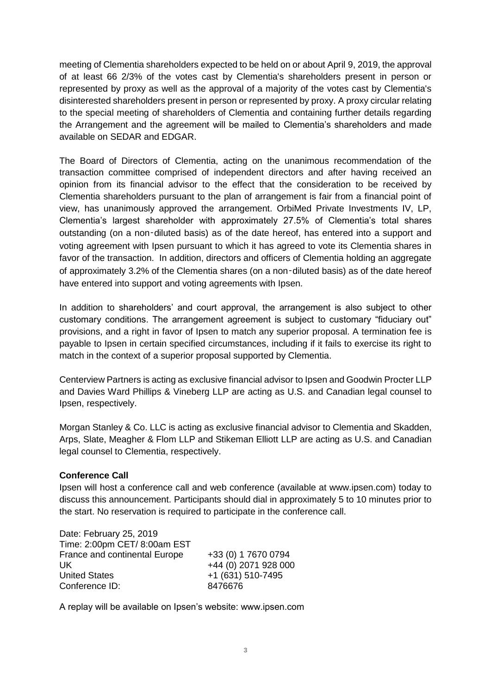meeting of Clementia shareholders expected to be held on or about April 9, 2019, the approval of at least 66 2/3% of the votes cast by Clementia's shareholders present in person or represented by proxy as well as the approval of a majority of the votes cast by Clementia's disinterested shareholders present in person or represented by proxy. A proxy circular relating to the special meeting of shareholders of Clementia and containing further details regarding the Arrangement and the agreement will be mailed to Clementia's shareholders and made available on SEDAR and EDGAR.

The Board of Directors of Clementia, acting on the unanimous recommendation of the transaction committee comprised of independent directors and after having received an opinion from its financial advisor to the effect that the consideration to be received by Clementia shareholders pursuant to the plan of arrangement is fair from a financial point of view, has unanimously approved the arrangement. OrbiMed Private Investments IV, LP, Clementia's largest shareholder with approximately 27.5% of Clementia's total shares outstanding (on a non‑diluted basis) as of the date hereof, has entered into a support and voting agreement with Ipsen pursuant to which it has agreed to vote its Clementia shares in favor of the transaction. In addition, directors and officers of Clementia holding an aggregate of approximately 3.2% of the Clementia shares (on a non‑diluted basis) as of the date hereof have entered into support and voting agreements with Ipsen.

In addition to shareholders' and court approval, the arrangement is also subject to other customary conditions. The arrangement agreement is subject to customary "fiduciary out" provisions, and a right in favor of Ipsen to match any superior proposal. A termination fee is payable to Ipsen in certain specified circumstances, including if it fails to exercise its right to match in the context of a superior proposal supported by Clementia.

Centerview Partners is acting as exclusive financial advisor to Ipsen and Goodwin Procter LLP and Davies Ward Phillips & Vineberg LLP are acting as U.S. and Canadian legal counsel to Ipsen, respectively.

Morgan Stanley & Co. LLC is acting as exclusive financial advisor to Clementia and Skadden, Arps, Slate, Meagher & Flom LLP and Stikeman Elliott LLP are acting as U.S. and Canadian legal counsel to Clementia, respectively.

## **Conference Call**

Ipsen will host a conference call and web conference (available at www.ipsen.com) today to discuss this announcement. Participants should dial in approximately 5 to 10 minutes prior to the start. No reservation is required to participate in the conference call.

Date: February 25, 2019 Time: 2:00pm CET/ 8:00am EST France and continental Europe +33 (0) 1 7670 0794 UK +44 (0) 2071 928 000 United States +1 (631) 510-7495 Conference ID: 8476676

A replay will be available on Ipsen's website: www.ipsen.com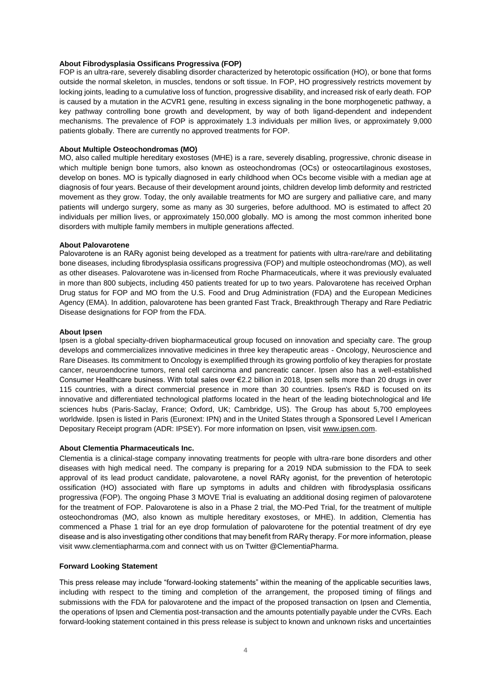#### **About Fibrodysplasia Ossificans Progressiva (FOP)**

FOP is an ultra-rare, severely disabling disorder characterized by heterotopic ossification (HO), or bone that forms outside the normal skeleton, in muscles, tendons or soft tissue. In FOP, HO progressively restricts movement by locking joints, leading to a cumulative loss of function, progressive disability, and increased risk of early death. FOP is caused by a mutation in the ACVR1 gene, resulting in excess signaling in the bone morphogenetic pathway, a key pathway controlling bone growth and development, by way of both ligand-dependent and independent mechanisms. The prevalence of FOP is approximately 1.3 individuals per million lives, or approximately 9,000 patients globally. There are currently no approved treatments for FOP.

#### **About Multiple Osteochondromas (MO)**

MO, also called multiple hereditary exostoses (MHE) is a rare, severely disabling, progressive, chronic disease in which multiple benign bone tumors, also known as osteochondromas (OCs) or osteocartilaginous exostoses, develop on bones. MO is typically diagnosed in early childhood when OCs become visible with a median age at diagnosis of four years. Because of their development around joints, children develop limb deformity and restricted movement as they grow. Today, the only available treatments for MO are surgery and palliative care, and many patients will undergo surgery, some as many as 30 surgeries, before adulthood. MO is estimated to affect 20 individuals per million lives, or approximately 150,000 globally. MO is among the most common inherited bone disorders with multiple family members in multiple generations affected.

#### **About Palovarotene**

Palovarotene is an RARy agonist being developed as a treatment for patients with ultra-rare/rare and debilitating bone diseases, including fibrodysplasia ossificans progressiva (FOP) and multiple osteochondromas (MO), as well as other diseases. Palovarotene was in-licensed from Roche Pharmaceuticals, where it was previously evaluated in more than 800 subjects, including 450 patients treated for up to two years. Palovarotene has received Orphan Drug status for FOP and MO from the U.S. Food and Drug Administration (FDA) and the European Medicines Agency (EMA). In addition, palovarotene has been granted Fast Track, Breakthrough Therapy and Rare Pediatric Disease designations for FOP from the FDA.

#### **About Ipsen**

Ipsen is a global specialty-driven biopharmaceutical group focused on innovation and specialty care. The group develops and commercializes innovative medicines in three key therapeutic areas - Oncology, Neuroscience and Rare Diseases. Its commitment to Oncology is exemplified through its growing portfolio of key therapies for prostate cancer, neuroendocrine tumors, renal cell carcinoma and pancreatic cancer. Ipsen also has a well-established Consumer Healthcare business. With total sales over €2.2 billion in 2018, Ipsen sells more than 20 drugs in over 115 countries, with a direct commercial presence in more than 30 countries. Ipsen's R&D is focused on its innovative and differentiated technological platforms located in the heart of the leading biotechnological and life sciences hubs (Paris-Saclay, France; Oxford, UK; Cambridge, US). The Group has about 5,700 employees worldwide. Ipsen is listed in Paris (Euronext: IPN) and in the United States through a Sponsored Level I American Depositary Receipt program (ADR: IPSEY). For more information on Ipsen, visi[t www.ipsen.com.](http://www.ipsen.com/)

#### **About Clementia Pharmaceuticals Inc.**

Clementia is a clinical-stage company innovating treatments for people with ultra-rare bone disorders and other diseases with high medical need. The company is preparing for a 2019 NDA submission to the FDA to seek approval of its lead product candidate, palovarotene, a novel RARγ agonist, for the prevention of heterotopic ossification (HO) associated with flare up symptoms in adults and children with fibrodysplasia ossificans progressiva (FOP). The ongoing Phase 3 MOVE Trial is evaluating an additional dosing regimen of palovarotene for the treatment of FOP. Palovarotene is also in a Phase 2 trial, the MO-Ped Trial, for the treatment of multiple osteochondromas (MO, also known as multiple hereditary exostoses, or MHE). In addition, Clementia has commenced a Phase 1 trial for an eye drop formulation of palovarotene for the potential treatment of dry eye disease and is also investigating other conditions that may benefit from RARγ therapy. For more information, please visit www.clementiapharma.com and connect with us on Twitter @ClementiaPharma.

#### **Forward Looking Statement**

This press release may include "forward-looking statements" within the meaning of the applicable securities laws, including with respect to the timing and completion of the arrangement, the proposed timing of filings and submissions with the FDA for palovarotene and the impact of the proposed transaction on Ipsen and Clementia, the operations of Ipsen and Clementia post-transaction and the amounts potentially payable under the CVRs. Each forward-looking statement contained in this press release is subject to known and unknown risks and uncertainties